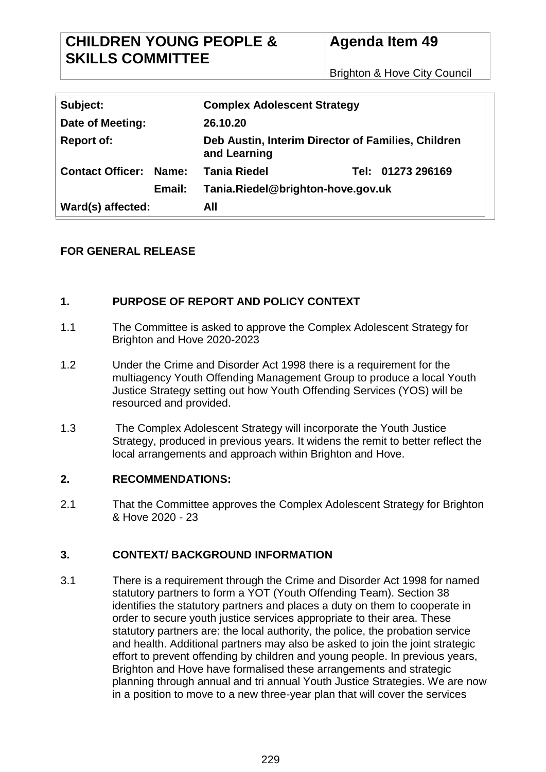Brighton & Hove City Council

| Subject:                |                                             | <b>Complex Adolescent Strategy</b>                                 |                   |
|-------------------------|---------------------------------------------|--------------------------------------------------------------------|-------------------|
| Date of Meeting:        |                                             | 26.10.20                                                           |                   |
| <b>Report of:</b>       |                                             | Deb Austin, Interim Director of Families, Children<br>and Learning |                   |
| <b>Contact Officer:</b> | Name:                                       | <b>Tania Riedel</b>                                                | Tel: 01273 296169 |
|                         | Tania.Riedel@brighton-hove.gov.uk<br>Email: |                                                                    |                   |
| Ward(s) affected:       |                                             | All                                                                |                   |

# **FOR GENERAL RELEASE**

## **1. PURPOSE OF REPORT AND POLICY CONTEXT**

- 1.1 The Committee is asked to approve the Complex Adolescent Strategy for Brighton and Hove 2020-2023
- 1.2 Under the Crime and Disorder Act 1998 there is a requirement for the multiagency Youth Offending Management Group to produce a local Youth Justice Strategy setting out how Youth Offending Services (YOS) will be resourced and provided.
- 1.3 The Complex Adolescent Strategy will incorporate the Youth Justice Strategy, produced in previous years. It widens the remit to better reflect the local arrangements and approach within Brighton and Hove.

## **2. RECOMMENDATIONS:**

2.1 That the Committee approves the Complex Adolescent Strategy for Brighton & Hove 2020 - 23

## **3. CONTEXT/ BACKGROUND INFORMATION**

3.1 There is a requirement through the Crime and Disorder Act 1998 for named statutory partners to form a YOT (Youth Offending Team). Section 38 identifies the statutory partners and places a duty on them to cooperate in order to secure youth justice services appropriate to their area. These statutory partners are: the local authority, the police, the probation service and health. Additional partners may also be asked to join the joint strategic effort to prevent offending by children and young people. In previous years, Brighton and Hove have formalised these arrangements and strategic planning through annual and tri annual Youth Justice Strategies. We are now in a position to move to a new three-year plan that will cover the services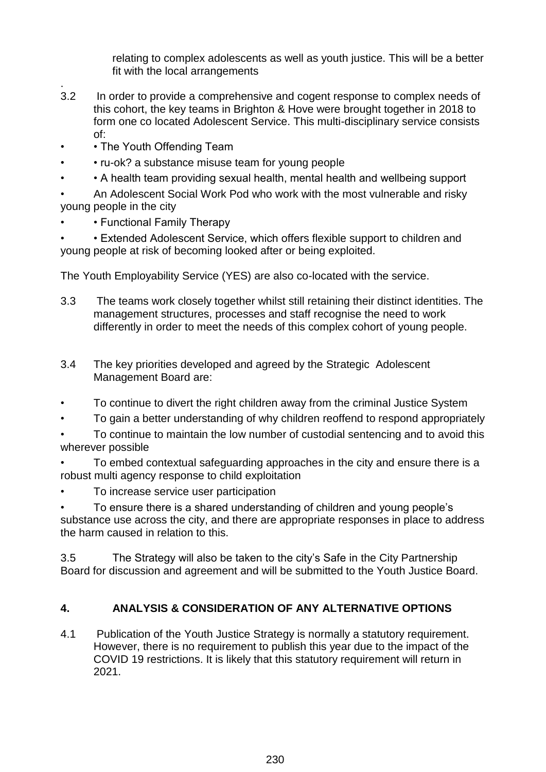relating to complex adolescents as well as youth justice. This will be a better fit with the local arrangements

- . 3.2 In order to provide a comprehensive and cogent response to complex needs of this cohort, the key teams in Brighton & Hove were brought together in 2018 to form one co located Adolescent Service. This multi-disciplinary service consists of:
- The Youth Offending Team
- • ru-ok? a substance misuse team for young people
- • A health team providing sexual health, mental health and wellbeing support
- An Adolescent Social Work Pod who work with the most vulnerable and risky young people in the city
- Functional Family Therapy
- • Extended Adolescent Service, which offers flexible support to children and young people at risk of becoming looked after or being exploited.

The Youth Employability Service (YES) are also co-located with the service.

- 3.3 The teams work closely together whilst still retaining their distinct identities. The management structures, processes and staff recognise the need to work differently in order to meet the needs of this complex cohort of young people.
- 3.4 The key priorities developed and agreed by the Strategic Adolescent Management Board are:
- To continue to divert the right children away from the criminal Justice System
- To gain a better understanding of why children reoffend to respond appropriately

• To continue to maintain the low number of custodial sentencing and to avoid this wherever possible

- To embed contextual safeguarding approaches in the city and ensure there is a robust multi agency response to child exploitation
- To increase service user participation

• To ensure there is a shared understanding of children and young people's substance use across the city, and there are appropriate responses in place to address the harm caused in relation to this.

3.5 The Strategy will also be taken to the city's Safe in the City Partnership Board for discussion and agreement and will be submitted to the Youth Justice Board.

# **4. ANALYSIS & CONSIDERATION OF ANY ALTERNATIVE OPTIONS**

4.1 Publication of the Youth Justice Strategy is normally a statutory requirement. However, there is no requirement to publish this year due to the impact of the COVID 19 restrictions. It is likely that this statutory requirement will return in 2021.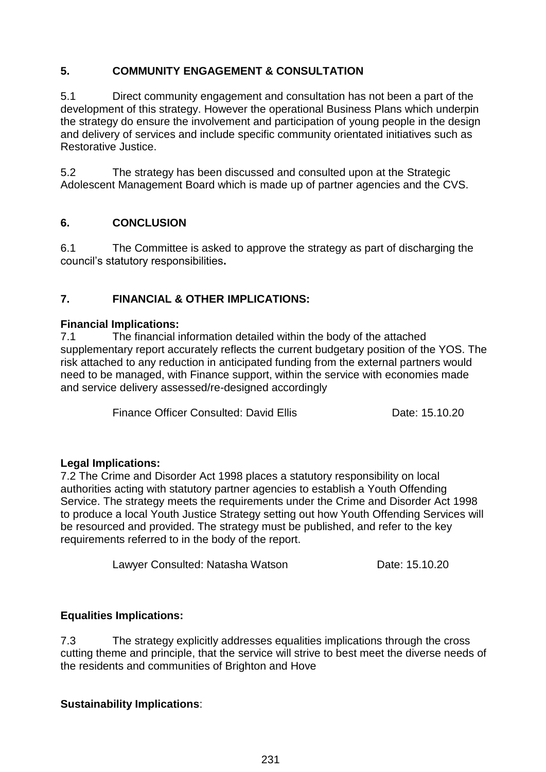# **5. COMMUNITY ENGAGEMENT & CONSULTATION**

5.1 Direct community engagement and consultation has not been a part of the development of this strategy. However the operational Business Plans which underpin the strategy do ensure the involvement and participation of young people in the design and delivery of services and include specific community orientated initiatives such as Restorative Justice.

5.2 The strategy has been discussed and consulted upon at the Strategic Adolescent Management Board which is made up of partner agencies and the CVS.

# **6. CONCLUSION**

6.1 The Committee is asked to approve the strategy as part of discharging the council's statutory responsibilities**.**

# **7. FINANCIAL & OTHER IMPLICATIONS:**

#### **Financial Implications:**

7.1 The financial information detailed within the body of the attached supplementary report accurately reflects the current budgetary position of the YOS. The risk attached to any reduction in anticipated funding from the external partners would need to be managed, with Finance support, within the service with economies made and service delivery assessed/re-designed accordingly

Finance Officer Consulted: David Ellis Date: 15.10.20

## **Legal Implications:**

7.2 The Crime and Disorder Act 1998 places a statutory responsibility on local authorities acting with statutory partner agencies to establish a Youth Offending Service. The strategy meets the requirements under the Crime and Disorder Act 1998 to produce a local Youth Justice Strategy setting out how Youth Offending Services will be resourced and provided. The strategy must be published, and refer to the key requirements referred to in the body of the report.

Lawyer Consulted: Natasha Watson Date: 15.10.20

## **Equalities Implications:**

7.3 The strategy explicitly addresses equalities implications through the cross cutting theme and principle, that the service will strive to best meet the diverse needs of the residents and communities of Brighton and Hove

## **Sustainability Implications**: